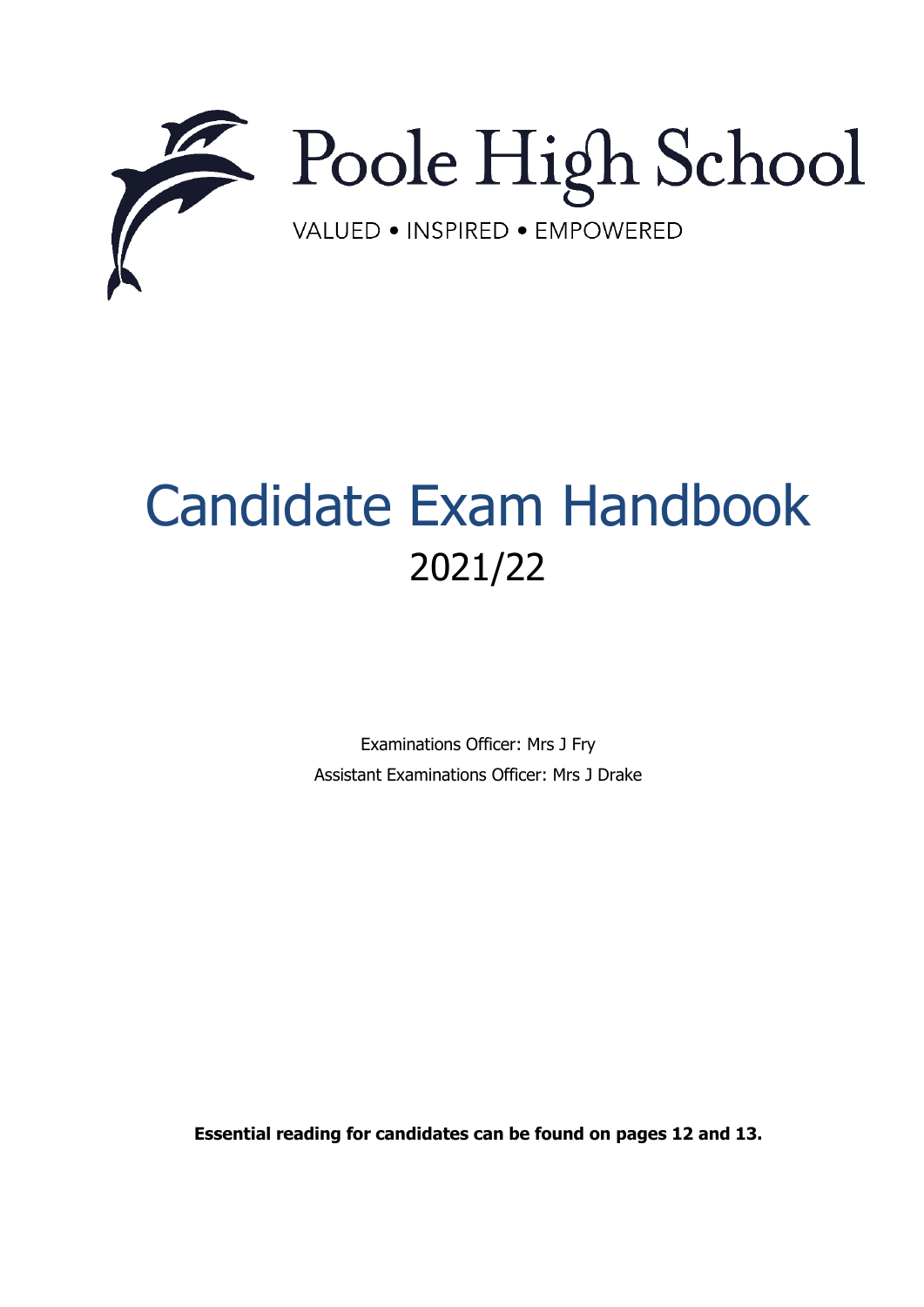

# Candidate Exam Handbook 2021/22

Examinations Officer: Mrs J Fry Assistant Examinations Officer: Mrs J Drake

**Essential reading for candidates can be found on pages 12 and 13.**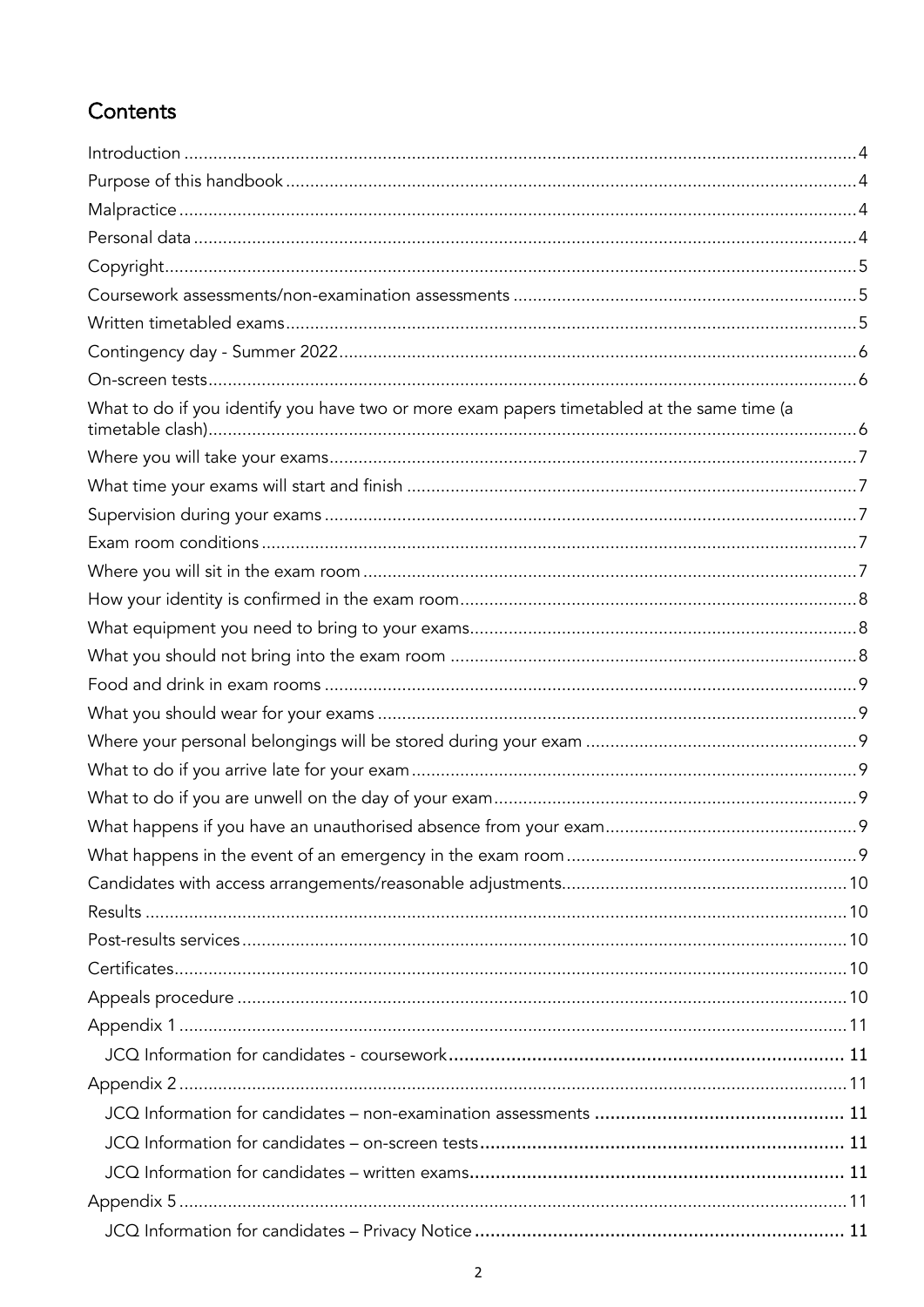## Contents

| What to do if you identify you have two or more exam papers timetabled at the same time (a |  |
|--------------------------------------------------------------------------------------------|--|
|                                                                                            |  |
|                                                                                            |  |
|                                                                                            |  |
|                                                                                            |  |
|                                                                                            |  |
|                                                                                            |  |
|                                                                                            |  |
|                                                                                            |  |
|                                                                                            |  |
|                                                                                            |  |
|                                                                                            |  |
|                                                                                            |  |
|                                                                                            |  |
|                                                                                            |  |
|                                                                                            |  |
|                                                                                            |  |
|                                                                                            |  |
|                                                                                            |  |
|                                                                                            |  |
|                                                                                            |  |
|                                                                                            |  |
|                                                                                            |  |
|                                                                                            |  |
|                                                                                            |  |
|                                                                                            |  |
|                                                                                            |  |
|                                                                                            |  |
|                                                                                            |  |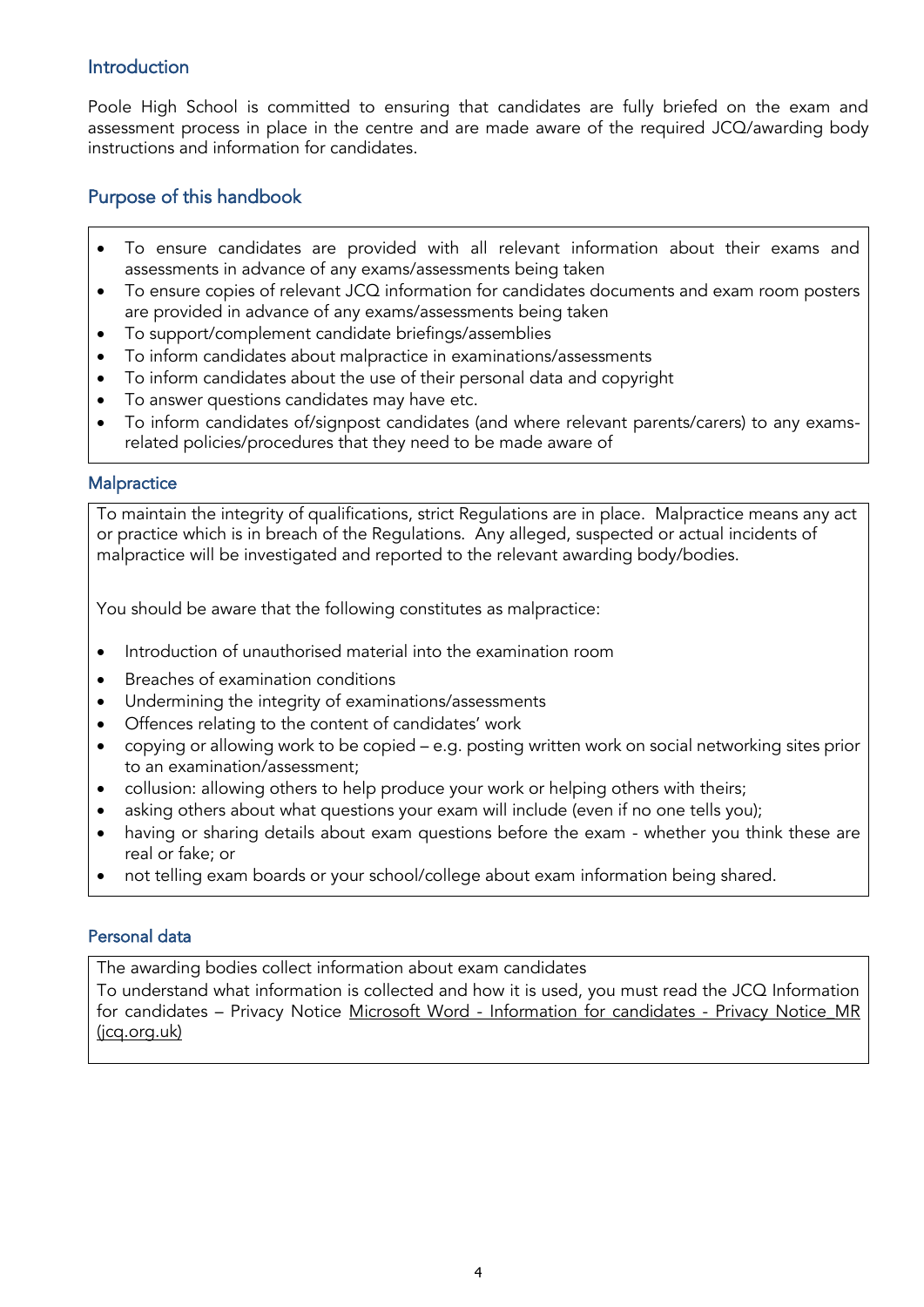#### <span id="page-3-0"></span>Introduction

Poole High School is committed to ensuring that candidates are fully briefed on the exam and assessment process in place in the centre and are made aware of the required JCQ/awarding body instructions and information for candidates.

## <span id="page-3-1"></span>Purpose of this handbook

- To ensure candidates are provided with all relevant information about their exams and assessments in advance of any exams/assessments being taken
- To ensure copies of relevant JCQ information for candidates documents and exam room posters are provided in advance of any exams/assessments being taken
- To support/complement candidate briefings/assemblies
- To inform candidates about malpractice in examinations/assessments
- To inform candidates about the use of their personal data and copyright
- To answer questions candidates may have etc.
- To inform candidates of/signpost candidates (and where relevant parents/carers) to any examsrelated policies/procedures that they need to be made aware of

#### <span id="page-3-2"></span>**Malpractice**

To maintain the integrity of qualifications, strict Regulations are in place. Malpractice means any act or practice which is in breach of the Regulations. Any alleged, suspected or actual incidents of malpractice will be investigated and reported to the relevant awarding body/bodies.

You should be aware that the following constitutes as malpractice:

- Introduction of unauthorised material into the examination room
- Breaches of examination conditions
- Undermining the integrity of examinations/assessments
- Offences relating to the content of candidates' work
- copying or allowing work to be copied e.g. posting written work on social networking sites prior to an examination/assessment;
- collusion: allowing others to help produce your work or helping others with theirs;
- asking others about what questions your exam will include (even if no one tells you);
- having or sharing details about exam questions before the exam whether you think these are real or fake; or
- not telling exam boards or your school/college about exam information being shared.

#### <span id="page-3-3"></span>Personal data

The awarding bodies collect information about exam candidates

• To understand what information is collected and how it is used, you must read the JCQ Information for candidates - Privacy Notice Microsoft Word - [Information for candidates -](https://www.jcq.org.uk/wp-content/uploads/2021/09/Information-for-candidates-Privacy-Notice_21-22.pdf) Privacy Notice MR [\(jcq.org.uk\)](https://www.jcq.org.uk/wp-content/uploads/2021/09/Information-for-candidates-Privacy-Notice_21-22.pdf)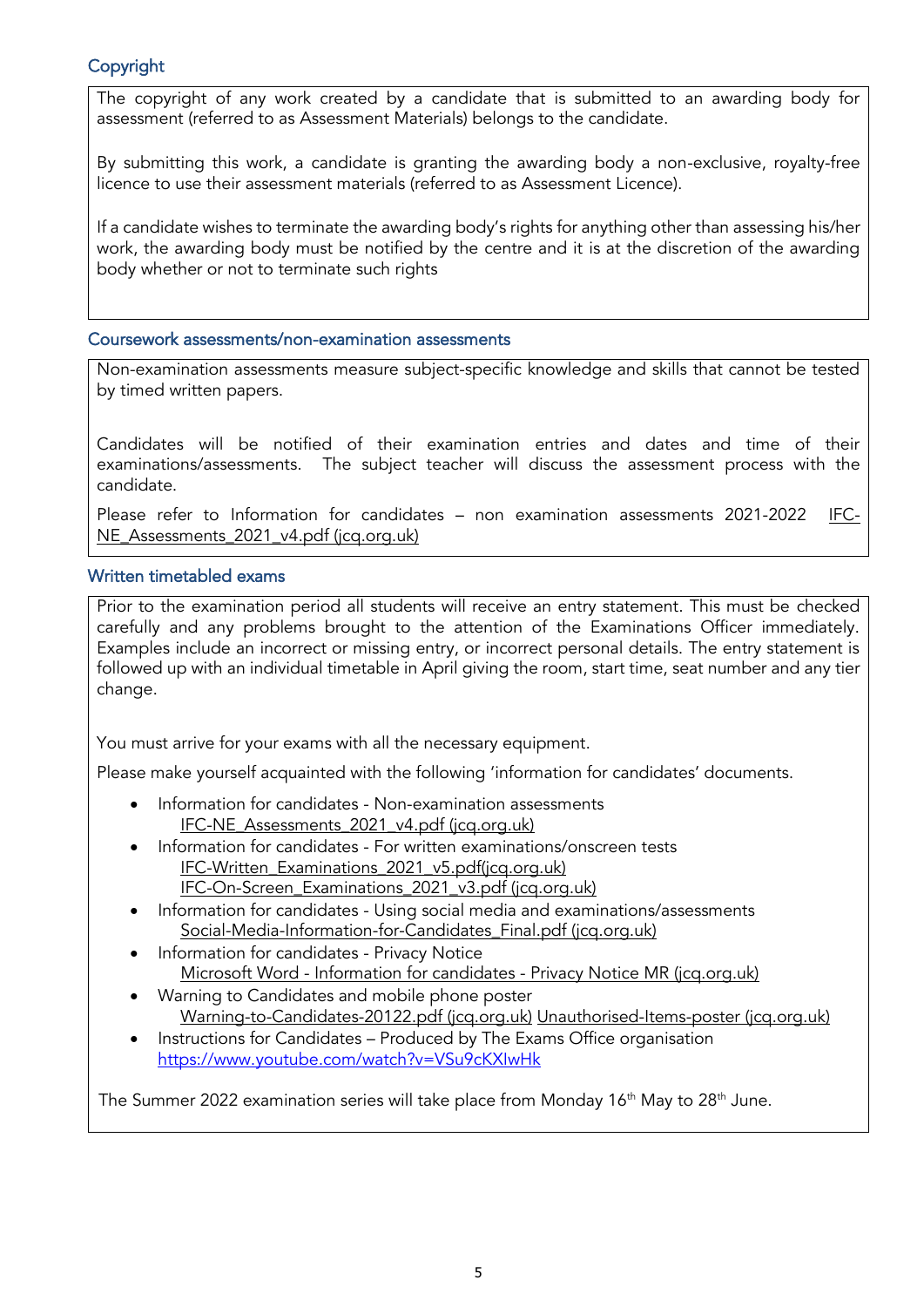#### <span id="page-4-0"></span>Copyright

The copyright of any work created by a candidate that is submitted to an awarding body for assessment (referred to as Assessment Materials) belongs to the candidate.

• By submitting this work, a candidate is granting the awarding body a non-exclusive, royalty-free licence to use their assessment materials (referred to as Assessment Licence).

If a candidate wishes to terminate the awarding body's rights for anything other than assessing his/her work, the awarding body must be notified by the centre and it is at the discretion of the awarding body whether or not to terminate such rights

#### <span id="page-4-1"></span>Coursework assessments/non-examination assessments

Non-examination assessments measure subject-specific knowledge and skills that cannot be tested by timed written papers.

Candidates will be notified of their examination entries and dates and time of their examinations/assessments. The subject teacher will discuss the assessment process with the candidate.

Please refer to Information for candidates - [non examination assessments 2021-2022 IFC-](https://www.jcq.org.uk/wp-content/uploads/2021/08/IFC-NE_Assessments_2021_v4.pdf)[NE\\_Assessments\\_2021\\_v4.pdf \(jcq.org.uk\)](https://www.jcq.org.uk/wp-content/uploads/2021/08/IFC-NE_Assessments_2021_v4.pdf)

## <span id="page-4-2"></span>Written timetabled exams

Prior to the examination period all students will receive an entry statement. This must be checked carefully and any problems brought to the attention of the Examinations Officer immediately. Examples include an incorrect or missing entry, or incorrect personal details. The entry statement is followed up with an individual timetable in April giving the room, start time, seat number and any tier change.

You must arrive for your exams with all the necessary equipment.

Please make yourself acquainted with the following 'information for candidates' documents.

- Information for candidates Non-examination assessments [IFC-NE\\_Assessments\\_2021\\_v4.pdf \(jcq.org.uk\)](https://www.jcq.org.uk/wp-content/uploads/2021/08/IFC-NE_Assessments_2021_v4.pdf)
- Information for candidates For written examinations/onscreen tests [IFC-Written\\_Examinations\\_2021\\_v5.pdf\(jcq.org.uk\)](https://www.jcq.org.uk/wp-content/uploads/2021/08/IFC-Written_Examinations_2021_v5.pdf) [IFC-On-Screen\\_Examinations\\_2021\\_v3.pdf \(jcq.org.uk\)](https://www.jcq.org.uk/wp-content/uploads/2021/08/IFC-On-Screen_Examinations_2021_v3.pdf)
- Information for candidates Using social media and examinations/assessments [Social-Media-Information-for-Candidates\\_Final.pdf \(jcq.org.uk\)](https://www.jcq.org.uk/wp-content/uploads/2021/09/Social-Media-Information-for-Candidates_Final.pdf)
- Information for candidates Privacy Notice Microsoft Word - Information for candidates - [Privacy Notice MR \(jcq.org.uk\)](https://www.jcq.org.uk/wp-content/uploads/2021/09/Information-for-candidates-Privacy-Notice_21-22.pdf)
- Warning to Candidates and mobile phone poster [Warning-to-Candidates-20122.pdf \(jcq.org.uk\)](https://www.jcq.org.uk/wp-content/uploads/2021/07/Warning-to-Candidates-20122.pdf) [Unauthorised-Items-poster \(jcq.org.uk\)](https://www.jcq.org.uk/wp-content/uploads/2021/07/Unauthorised-Items-poster-2021.pdf)
- Instructions for Candidates Produced by The Exams Office organisation <https://www.youtube.com/watch?v=VSu9cKXIwHk>

The Summer 2022 examination series will take place from Monday  $16<sup>th</sup>$  May to 28<sup>th</sup> June.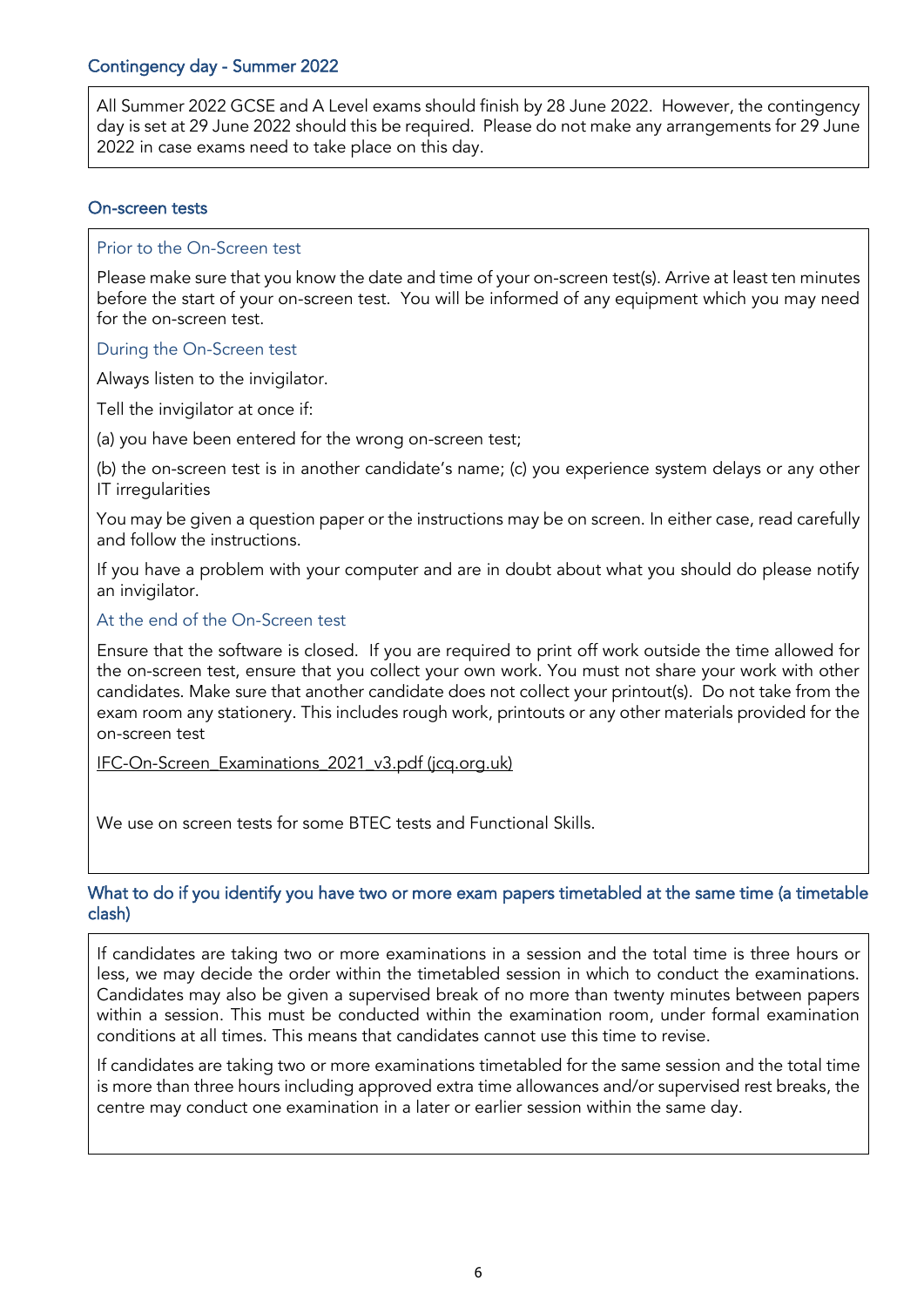<span id="page-5-0"></span>All Summer 2022 GCSE and A Level exams should finish by 28 June 2022. However, the contingency day is set at 29 June 2022 should this be required. Please do not make any arrangements for 29 June 2022 in case exams need to take place on this day.

#### <span id="page-5-1"></span>On-screen tests

#### Prior to the On-Screen test

Please make sure that you know the date and time of your on-screen test(s). Arrive at least ten minutes before the start of your on-screen test. You will be informed of any equipment which you may need for the on-screen test.

#### During the On-Screen test

Always listen to the invigilator.

Tell the invigilator at once if:

(a) you have been entered for the wrong on-screen test;

(b) the on-screen test is in another candidate's name; (c) you experience system delays or any other IT irregularities

You may be given a question paper or the instructions may be on screen. In either case, read carefully and follow the instructions.

If you have a problem with your computer and are in doubt about what you should do please notify an invigilator.

#### At the end of the On-Screen test

Ensure that the software is closed. If you are required to print off work outside the time allowed for the on-screen test, ensure that you collect your own work. You must not share your work with other candidates. Make sure that another candidate does not collect your printout(s). Do not take from the exam room any stationery. This includes rough work, printouts or any other materials provided for the on-screen test

[IFC-On-Screen\\_Examinations\\_2021\\_v3.pdf \(jcq.org.uk\)](https://www.jcq.org.uk/wp-content/uploads/2021/08/IFC-On-Screen_Examinations_2021_v3.pdf)

We use on screen tests for some BTEC tests and Functional Skills.

#### <span id="page-5-2"></span>What to do if you identify you have two or more exam papers timetabled at the same time (a timetable clash)

If candidates are taking two or more examinations in a session and the total time is three hours or less, we may decide the order within the timetabled session in which to conduct the examinations. Candidates may also be given a supervised break of no more than twenty minutes between papers within a session. This must be conducted within the examination room, under formal examination conditions at all times. This means that candidates cannot use this time to revise.

If candidates are taking two or more examinations timetabled for the same session and the total time is more than three hours including approved extra time allowances and/or supervised rest breaks, the centre may conduct one examination in a later or earlier session within the same day.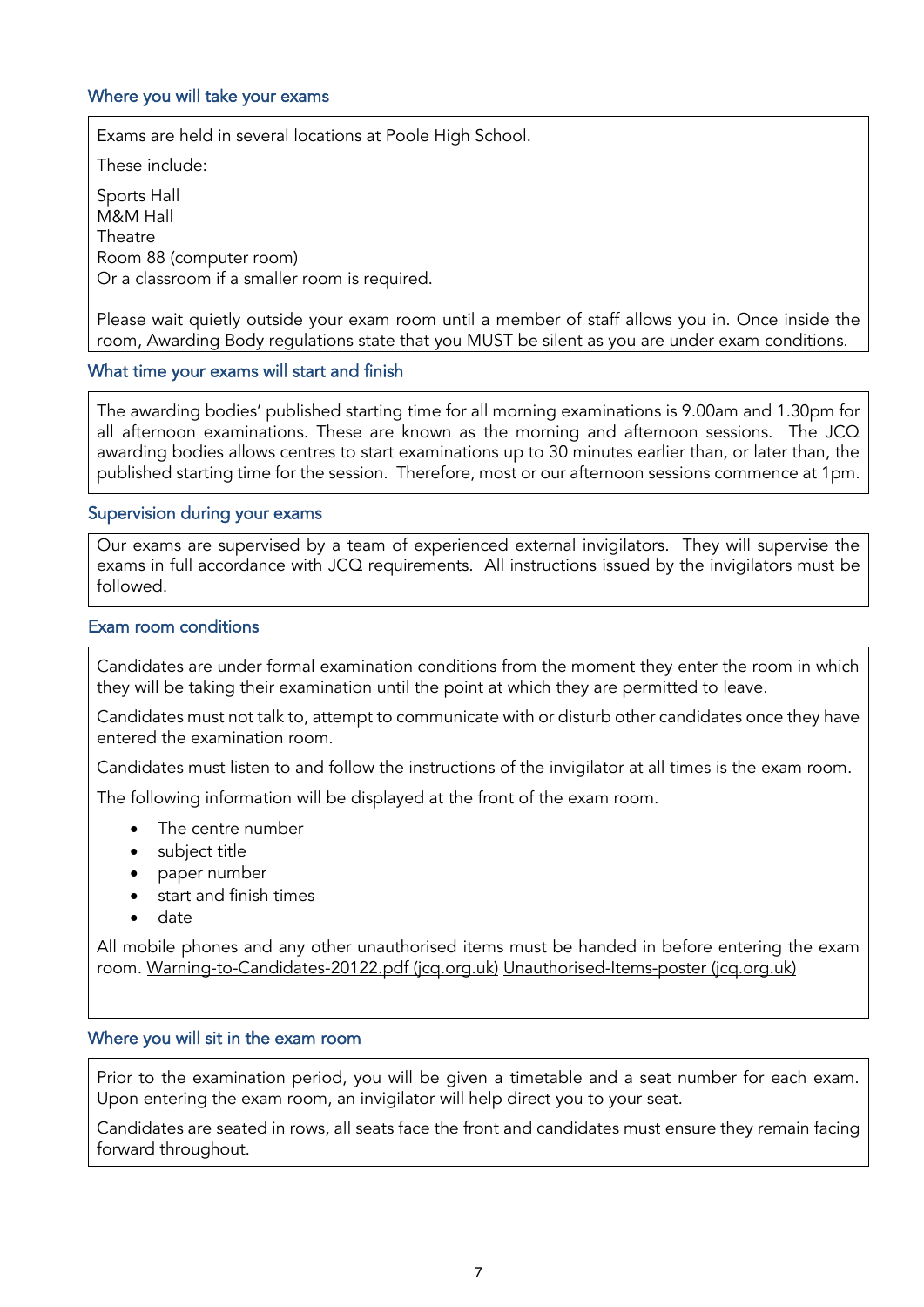#### <span id="page-6-0"></span>Where you will take your exams

Exams are held in several locations at Poole High School.

These include:

Sports Hall M&M Hall **Theatre** Room 88 (computer room) Or a classroom if a smaller room is required.

Please wait quietly outside your exam room until a member of staff allows you in. Once inside the room, Awarding Body regulations state that you MUST be silent as you are under exam conditions.

#### <span id="page-6-1"></span>What time your exams will start and finish

The awarding bodies' published starting time for all morning examinations is 9.00am and 1.30pm for all afternoon examinations. These are known as the morning and afternoon sessions. The JCQ awarding bodies allows centres to start examinations up to 30 minutes earlier than, or later than, the published starting time for the session. Therefore, most or our afternoon sessions commence at 1pm.

#### <span id="page-6-2"></span>Supervision during your exams

• Our exams are supervised by a team of experienced external invigilators. They will supervise the exams in full accordance with JCQ requirements. All instructions issued by the invigilators must be followed.

#### <span id="page-6-3"></span>Exam room conditions

Candidates are under formal examination conditions from the moment they enter the room in which they will be taking their examination until the point at which they are permitted to leave.

Candidates must not talk to, attempt to communicate with or disturb other candidates once they have entered the examination room.

Candidates must listen to and follow the instructions of the invigilator at all times is the exam room.

The following information will be displayed at the front of the exam room.

- The centre number
- subject title
- paper number
- start and finish times
- date

All mobile phones and any other unauthorised items must be handed in before entering the exam room. [Warning-to-Candidates-20122.pdf \(jcq.org.uk\)](https://www.jcq.org.uk/wp-content/uploads/2021/07/Warning-to-Candidates-20122.pdf) [Unauthorised-Items-poster \(jcq.org.uk\)](https://www.jcq.org.uk/wp-content/uploads/2021/07/Unauthorised-Items-poster-2021.pdf)

#### <span id="page-6-4"></span>Where you will sit in the exam room

Prior to the examination period, you will be given a timetable and a seat number for each exam. Upon entering the exam room, an invigilator will help direct you to your seat.

Candidates are seated in rows, all seats face the front and candidates must ensure they remain facing forward throughout.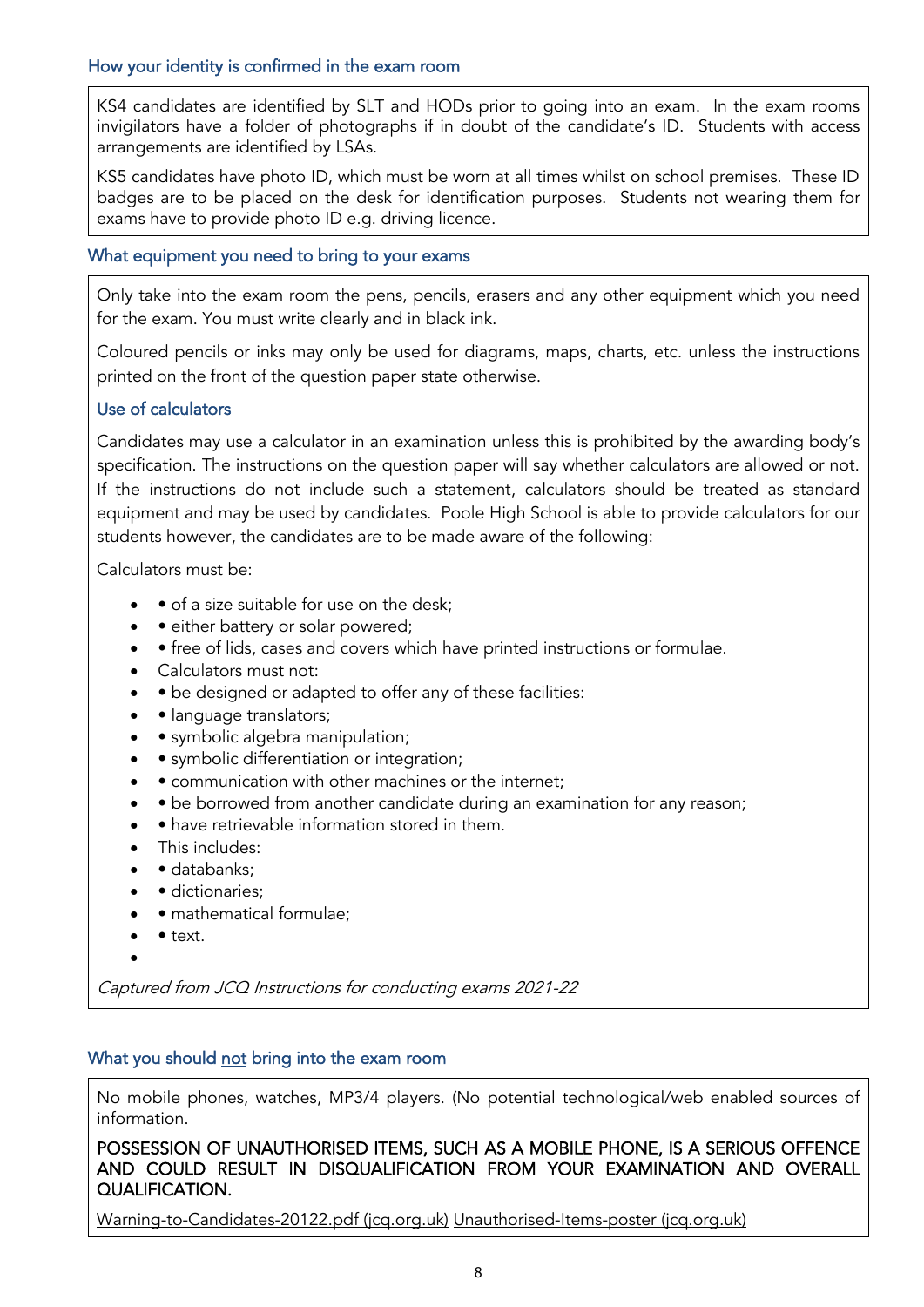#### <span id="page-7-0"></span>How your identity is confirmed in the exam room

KS4 candidates are identified by SLT and HODs prior to going into an exam. In the exam rooms invigilators have a folder of photographs if in doubt of the candidate's ID. Students with access arrangements are identified by LSAs.

KS5 candidates have photo ID, which must be worn at all times whilst on school premises. These ID badges are to be placed on the desk for identification purposes. Students not wearing them for exams have to provide photo ID e.g. driving licence.

#### <span id="page-7-1"></span>What equipment you need to bring to your exams

Only take into the exam room the pens, pencils, erasers and any other equipment which you need for the exam. You must write clearly and in black ink.

Coloured pencils or inks may only be used for diagrams, maps, charts, etc. unless the instructions printed on the front of the question paper state otherwise.

#### Use of calculators

Candidates may use a calculator in an examination unless this is prohibited by the awarding body's specification. The instructions on the question paper will say whether calculators are allowed or not. If the instructions do not include such a statement, calculators should be treated as standard equipment and may be used by candidates. Poole High School is able to provide calculators for our students however, the candidates are to be made aware of the following:

Calculators must be:

- • of a size suitable for use on the desk:
- • either battery or solar powered;
- • free of lids, cases and covers which have printed instructions or formulae.
- Calculators must not:
- • be designed or adapted to offer any of these facilities:
- • language translators;
- • symbolic algebra manipulation;
- • symbolic differentiation or integration;
- • communication with other machines or the internet;
- • be borrowed from another candidate during an examination for any reason;
- • have retrievable information stored in them.
- This includes:
- databanks:
- dictionaries;
- mathematical formulae;
- • text.
- •

Captured from JCQ Instructions for conducting exams 2021-22

#### <span id="page-7-2"></span>What you should not bring into the exam room

No mobile phones, watches, MP3/4 players. (No potential technological/web enabled sources of information.

POSSESSION OF UNAUTHORISED ITEMS, SUCH AS A MOBILE PHONE, IS A SERIOUS OFFENCE AND COULD RESULT IN DISQUALIFICATION FROM YOUR EXAMINATION AND OVERALL QUALIFICATION.

[Warning-to-Candidates-20122.pdf](https://www.jcq.org.uk/wp-content/uploads/2021/07/Warning-to-Candidates-20122.pdf) (jcq.org.uk) [Unauthorised-Items-poster \(jcq.org.uk\)](https://www.jcq.org.uk/wp-content/uploads/2021/07/Unauthorised-Items-poster-2021.pdf)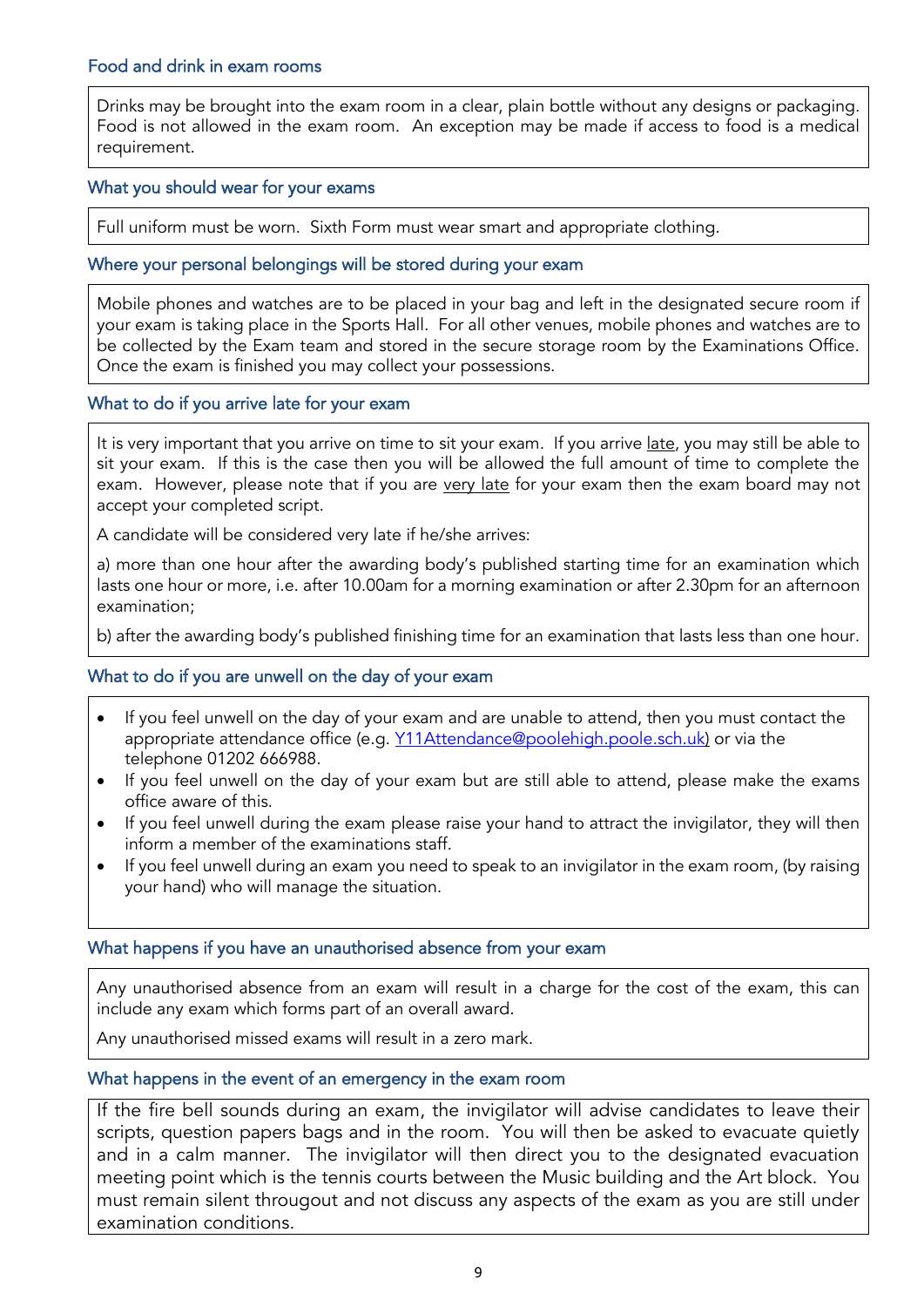#### <span id="page-8-0"></span>Food and drink in exam rooms

Drinks may be brought into the exam room in a clear, plain bottle without any designs or packaging. Food is not allowed in the exam room. An exception may be made if access to food is a medical requirement.

#### <span id="page-8-1"></span>What you should wear for your exams

Full uniform must be worn. Sixth Form must wear smart and appropriate clothing.

#### <span id="page-8-2"></span>Where your personal belongings will be stored during your exam

Mobile phones and watches are to be placed in your bag and left in the designated secure room if your exam is taking place in the Sports Hall. For all other venues, mobile phones and watches are to be collected by the Exam team and stored in the secure storage room by the Examinations Office. Once the exam is finished you may collect your possessions.

#### <span id="page-8-3"></span>What to do if you arrive late for your exam

It is very important that you arrive on time to sit your exam. If you arrive late, you may still be able to sit your exam. If this is the case then you will be allowed the full amount of time to complete the exam. However, please note that if you are very late for your exam then the exam board may not accept your completed script.

A candidate will be considered very late if he/she arrives:

a) more than one hour after the awarding body's published starting time for an examination which lasts one hour or more, i.e. after 10.00am for a morning examination or after 2.30pm for an afternoon examination;

b) after the awarding body's published finishing time for an examination that lasts less than one hour.

#### <span id="page-8-4"></span>What to do if you are unwell on the day of your exam

- If you feel unwell on the day of your exam and are unable to attend, then you must contact the appropriate attendance office (e.g. [Y11Attendance@poolehigh.poole.sch.uk\)](mailto:Y11Attendance@poolehigh.poole.sch.uk) or via the telephone 01202 666988.
- If you feel unwell on the day of your exam but are still able to attend, please make the exams office aware of this.
- If you feel unwell during the exam please raise your hand to attract the invigilator, they will then inform a member of the examinations staff.
- If you feel unwell during an exam you need to speak to an invigilator in the exam room, (by raising your hand) who will manage the situation.

#### <span id="page-8-5"></span>What happens if you have an unauthorised absence from your exam

Any unauthorised absence from an exam will result in a charge for the cost of the exam, this can include any exam which forms part of an overall award.

Any unauthorised missed exams will result in a zero mark.

#### <span id="page-8-6"></span>What happens in the event of an emergency in the exam room

If the fire bell sounds during an exam, the invigilator will advise candidates to leave their scripts, question papers bags and in the room. You will then be asked to evacuate quietly and in a calm manner. The invigilator will then direct you to the designated evacuation meeting point which is the tennis courts between the Music building and the Art block. You must remain silent througout and not discuss any aspects of the exam as you are still under examination conditions.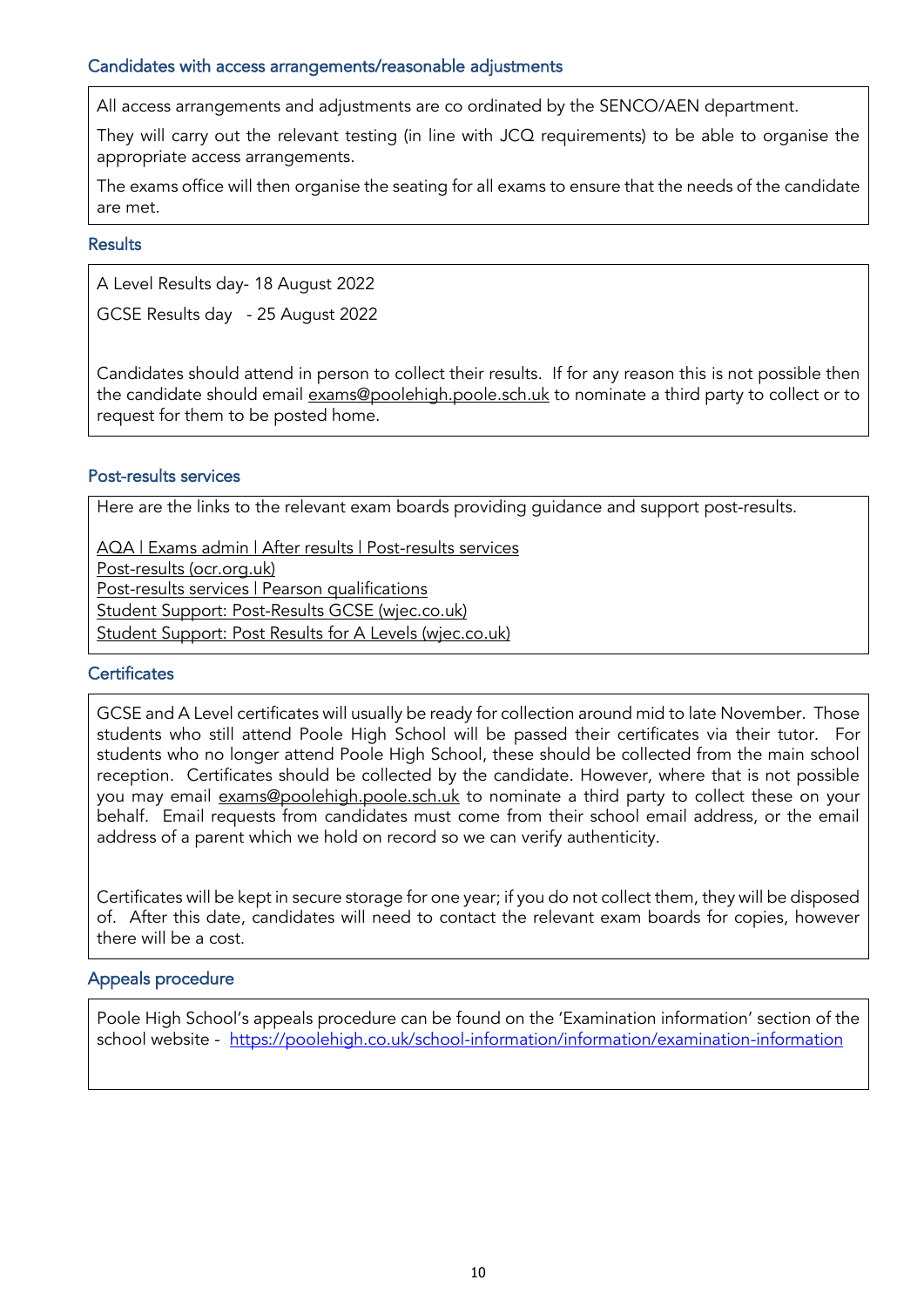#### <span id="page-9-0"></span>Candidates with access arrangements/reasonable adjustments

All access arrangements and adjustments are co ordinated by the SENCO/AEN department.

They will carry out the relevant testing (in line with JCQ requirements) to be able to organise the appropriate access arrangements.

The exams office will then organise the seating for all exams to ensure that the needs of the candidate are met.

#### <span id="page-9-1"></span>**Results**

A Level Results day- 18 August 2022

GCSE Results day - 25 August 2022

Candidates should attend in person to collect their results. If for any reason this is not possible then the candidate should email [exams@poolehigh.poole.sch.uk](mailto:exams@poolehigh.poole.sch.uk) to nominate a third party to collect or to request for them to be posted home.

#### <span id="page-9-2"></span>Post-results services

Here are the links to the relevant exam boards providing guidance and support post-results.

[AQA | Exams admin | After results | Post-results services](https://www.aqa.org.uk/exams-administration/after-results/post-results) [Post-results \(ocr.org.uk\)](https://ocr.org.uk/administration/post-results/) [Post-results services | Pearson qualifications](https://qualifications.pearson.com/en/support/support-topics/results-certification/post-results-services.html) [Student Support: Post-Results GCSE \(wjec.co.uk\)](https://www.wjec.co.uk/articles/student-support-post-results-gcse/)

**[Student Support: Post Results](https://www.wjec.co.uk/articles/student-support-post-results-for-a-levels/) for A Levels (wjec.co.uk)** 

#### <span id="page-9-3"></span>**Certificates**

GCSE and A Level certificates will usually be ready for collection around mid to late November. Those students who still attend Poole High School will be passed their certificates via their tutor. For students who no longer attend Poole High School, these should be collected from the main school reception. Certificates should be collected by the candidate. However, where that is not possible you may email [exams@poolehigh.poole.sch.uk](mailto:exams@poolehigh.poole.sch.uk) to nominate a third party to collect these on your behalf. Email requests from candidates must come from their school email address, or the email address of a parent which we hold on record so we can verify authenticity.

Certificates will be kept in secure storage for one year; if you do not collect them, they will be disposed of. After this date, candidates will need to contact the relevant exam boards for copies, however there will be a cost.

#### <span id="page-9-4"></span>Appeals procedure

Poole High School's appeals procedure can be found on the 'Examination information' section of the school website - <https://poolehigh.co.uk/school-information/information/examination-information>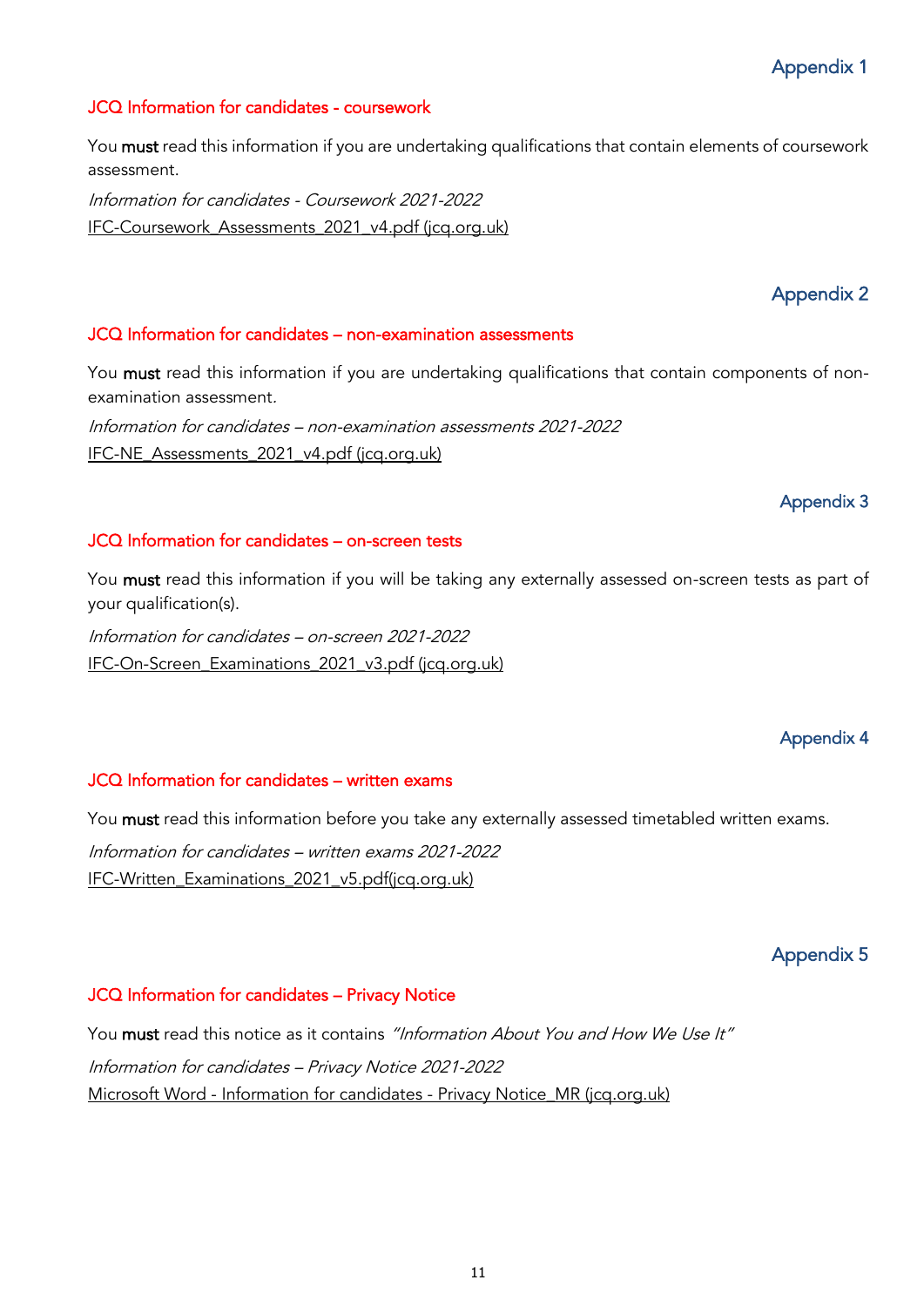#### <span id="page-10-1"></span><span id="page-10-0"></span>JCQ Information for candidates - coursework

You must read this information if you are undertaking qualifications that contain elements of coursework assessment.

Information for candidates - Coursework 2021-2022 [IFC-Coursework\\_Assessments\\_2021\\_v4.pdf \(jcq.org.uk\)](https://www.jcq.org.uk/wp-content/uploads/2021/08/IFC-Coursework_Assessments_2021_v4.pdf)

## Appendix 2

#### <span id="page-10-3"></span><span id="page-10-2"></span>JCQ Information for candidates – non-examination assessments

You must read this information if you are undertaking qualifications that contain components of nonexamination assessment.

Information for candidates – non-examination assessments 2021-2022 [IFC-NE\\_Assessments\\_2021\\_v4.pdf \(jcq.org.uk\)](https://www.jcq.org.uk/wp-content/uploads/2021/08/IFC-NE_Assessments_2021_v4.pdf)

#### Appendix 3

#### <span id="page-10-4"></span>JCQ Information for candidates – on-screen tests

You must read this information if you will be taking any externally assessed on-screen tests as part of your qualification(s).

Information for candidates – on-screen 2021-2022 [IFC-On-Screen\\_Examinations\\_2021\\_v3.pdf \(jcq.org.uk\)](https://www.jcq.org.uk/wp-content/uploads/2021/08/IFC-On-Screen_Examinations_2021_v3.pdf)

## Appendix 4

#### <span id="page-10-5"></span>JCQ Information for candidates – written exams

You must read this information before you take any externally assessed timetabled written exams. Information for candidates – written exams 2021-2022 [IFC-Written\\_Examinations\\_2021\\_v5.pdf\(jcq.org.uk\)](https://www.jcq.org.uk/wp-content/uploads/2021/08/IFC-Written_Examinations_2021_v5.pdf)

## Appendix 5

#### <span id="page-10-7"></span><span id="page-10-6"></span>JCQ Information for candidates – Privacy Notice

You must read this notice as it contains "Information About You and How We Use It" Information for candidates – Privacy Notice 2021-2022 Microsoft Word - Information for candidates - [Privacy Notice\\_MR \(jcq.org.uk\)](https://www.jcq.org.uk/wp-content/uploads/2021/09/Information-for-candidates-Privacy-Notice_21-22.pdf)